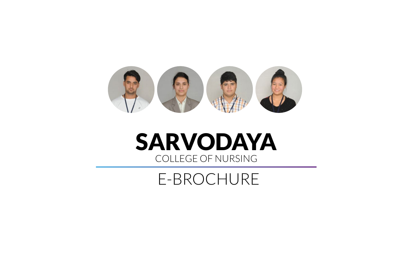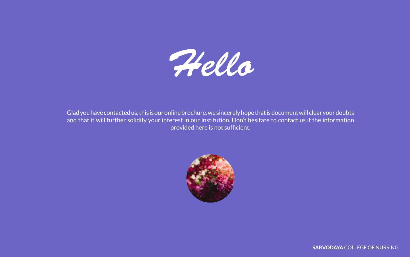*Hello*

Glad you have contacted us, this is our online brochure. we sincerely hope that is document will clear your doubts and that it will further solidify your interest in our institution. Don't hesitate to contact us if the information provided here is not sufficient.

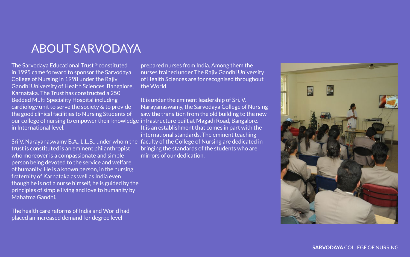The Sarvodaya Educational Trust ® constituted in 1995 came forward to sponsor the Sarvodaya College of Nursing in 1998 under the Rajiv Gandhi University of Health Sciences, Bangalore, Karnataka. The Trust has constructed a 250 Bedded Multi Speciality Hospital including cardiology unit to serve the society & to provide the good clinical facilities to Nursing Students of our college of nursing to empower their knowledge infrastructure built at Magadi Road, Bangalore. in International level.

trust is constituted is an eminent philanthropist who moreover is a compassionate and simple person being devoted to the service and welfare of humanity. He is a known person, in the nursing fraternity of Karnataka as well as India even though he is not a nurse himself, he is guided by the principles of simple living and love to humanity by Mahatma Gandhi.

The health care reforms of India and World had placed an increased demand for degree level

Sri V. Narayanaswamy B.A., L.L.B., under whom the faculty of the College of Nursing are dedicated in It is under the eminent leadership of Sri. V. Narayanaswamy, the Sarvodaya College of Nursing saw the transition from the old building to the new It is an establishment that comes in part with the international standards. The eminent teaching bringing the standards of the students who are mirrors of our dedication.



prepared nurses from India. Among them the nurses trained under The Rajiv Gandhi University of Health Sciences are for recognised throughout the World.

## ABOUT SARVODAYA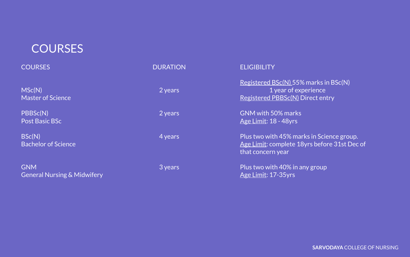## **COURSES**

| <b>COURSES</b>                                       | <b>DURATION</b> | <b>ELIGIBILITY</b>                                                     |
|------------------------------------------------------|-----------------|------------------------------------------------------------------------|
| MSc(N)<br><b>Master of Science</b>                   | 2 years         | <b>Registered BSc(N) 5</b><br>1 year of<br><b>Registered PBBSc(N</b>   |
| PBBSc(N)<br><b>Post Basic BSc</b>                    | 2 years         | GNM with 50% mar<br><b>Age Limit: 18 - 48yr</b>                        |
| BSc(N)<br><b>Bachelor of Science</b>                 | 4 years         | Plus two with 45% r<br><b>Age Limit: complete</b><br>that concern year |
| <b>GNM</b><br><b>General Nursing &amp; Midwifery</b> | 3 years         | Plus two with 40% i<br>Age Limit: 17-35yrs                             |

 $\angle$ 55% marks in BSc(N) of experience <u>c(N)</u> Direct entry

arks kyrs i

 $\%$  marks in Science group. te 18yrs before 31st Dec of

 $\%$  in any group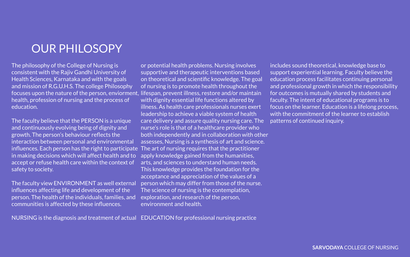The philosophy of the College of Nursing is consistent with the Rajiv Gandhi University of Health Sciences, Karnataka and with the goals and mission of R.G.U.H.S. The college Philosophy focuses upon the nature of the person, enviorment, lifespan, prevent illness, restore and/or maintain health, profession of nursing and the process of education.

The faculty believe that the PERSON is a unique and continuously evolving being of dignity and growth. The person's behaviour reflects the interaction between personal and environmental influences. Each person has the right to participate The art of nursing requires that the practitioner in making decisions which will affect health and to accept or refuse health care within the context of safety to society.

The faculty view ENVIRONMENT as well external influences affecting life and development of the person. The health of the individuals, families, and communities is affected by these influences.

NURSING is the diagnosis and treatment of actual EDUCATION for professional nursing practice

or potential health problems. Nursing involves supportive and therapeutic interventions based on theoretical and scientific knowledge. The goal of nursing is to promote health throughout the with dignity essential life functions altered by illness. As health care professionals nurses exert leadership to achieve a viable system of health care delivery and assure quality nursing care. The nurse's role is that of a healthcare provider who both independently and in collaboration with other assesses, Nursing is a synthesis of art and science. apply knowledge gained from the humanities, arts, and sciences to understand human needs. This knowledge provides the foundation for the acceptance and appreciation of the values of a person which may differ from those of the nurse. The science of nursing is the contemplation, exploration, and research of the person, environment and health.

includes sound theoretical, knowledge base to support experiential learning. Faculty believe the education process facilitates continuing personal and professional growth in which the responsibility for outcomes is mutually shared by students and faculty. The intent of educational programs is to focus on the learner. Education is a lifelong process, with the commitment of the learner to establish patterns of continued inquiry.

## OUR PHILOSOPY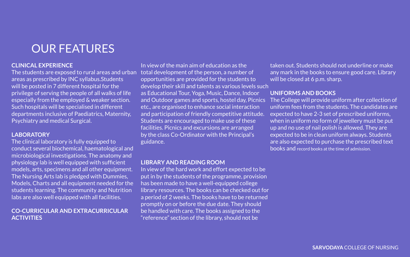## **CLINICAL EXPERIENCE**

The students are exposed to rural areas and urban areas as prescribed by INC syllabus.Students will be posted in 7 different hospital for the privilege of serving the people of all walks of life especially from the employed & weaker section. Such hospitals will be specialised in different departments inclusive of Paediatrics, Maternity, Psychiatry and medical Surgical.

## **LABORATORY**

In view of the main aim of education as the total development of the person, a number of opportunities are provided for the students to develop their skill and talents as various levels such as Educational Tour, Yoga, Music, Dance, Indoor and Outdoor games and sports, hostel day, Picnics etc., are organised to enhance social interaction and participation of friendly competitive attitude. Students are encouraged to make use of these facilities. Picnics and excursions are arranged by the class Co-Ordinator with the Principal's guidance.

The clinical laboratory is fully equipped to conduct several biochemical, haematological and microbiological investigations. The anatomy and physiology lab is well equipped with sufficient models, arts, specimens and all other equipment. The Nursing Arts lab is pledged with Dummies, Models, Charts and all equipment needed for the students learning. The community and Nutrition labs are also well equipped with all facilities.

### **CO-CURRICULAR AND EXTRACURRICULAR ACTIVITIES**

taken out. Students should not underline or make any mark in the books to ensure good care. Library will be closed at 6 p.m. sharp.

### **LIBRARY AND READING ROOM**

In view of the hard work and effort expected to be put in by the students of the programme, provision has been made to have a well-equipped college library resources. The books can be checked out for a period of 2 weeks. The books have to be returned promptly on or before the due date. They should be handled with care. The books assigned to the "reference" section of the library, should not be

**UNIFORMS AND BOOKS**  The College will provide uniform after collection of uniform fees from the students. The candidates are expected to have 2-3 set of prescribed uniforms, when in uniform no form of jewellery must be put up and no use of nail polish is allowed. They are expected to be in clean uniform always. Students are also expected to purchase the prescribed text books and record books at the time of admission.

## OUR FEATURES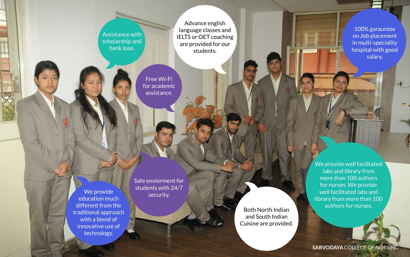**SARVODAYA** COLLEGE OF NURSING

We provide education much different from the traditional approach with a blend of innovative use of technology.

Safe enviorment for students with 24/7 security.

Assistance with scholarship and bank loan.

Advance english language classes and IELTS or OET coaching are provided for our students.

> We provide well facilitated labs and library from more than 100 authors for nurses. We provide well facilitated labs and library from more than 100 authors for nurses.

100% garauntee on Job placement in multi-speciality hospital with good salary.

Free Wi-Fi for academic assistance.

> Both North Indian and South Indian Cuisine are provided.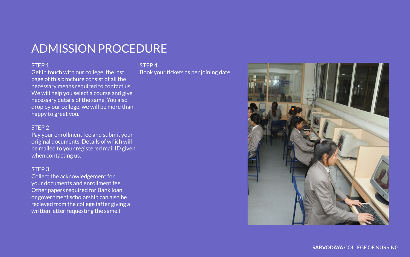### STEP 1

Get in touch with our college, the last page of this brochure consist of all the necessary means required to contact us. We will help you select a course and give necessary details of the same. You also drop by our college, we will be more than happy to greet you.

### STEP 2

Pay your enrollment fee and submit your original documents. Details of which will be mailed to your registered mail ID given when contacting us.

### STEP 3

Collect the acknowledgement for your documents and enrollment fee. Other papers required for Bank loan or government scholarship can also be recieved from the college (after giving a written letter requesting the same.)

STEP 4

Book your tickets as per joining date.





## ADMISSION PROCEDURE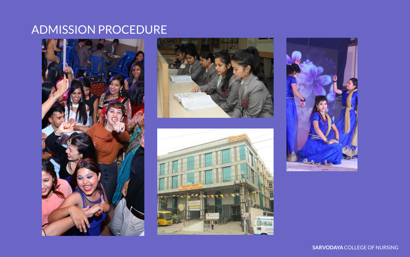## ADMISSION PROCEDURE







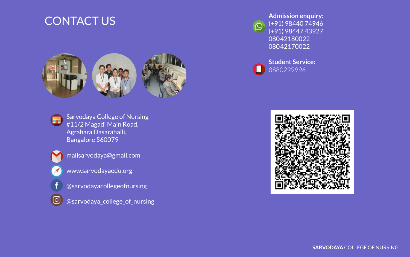Sarvodaya College of Nursing #11/2 Magadi Main Road, Agrahara Dasarahalli, Bangalore 560079



f

ම

mailsarvodaya@gmail.com



- @sarvodayacollegeofnursing
- @sarvodaya\_college\_of\_nursing

**Admission enquiry:** (+91) 98440 74946 (+91) 98447 43927 08042180022 08042170022



 $\boldsymbol{\mathsf{D}}$ 



**Student Service:** 8880299996



## CONTACT US



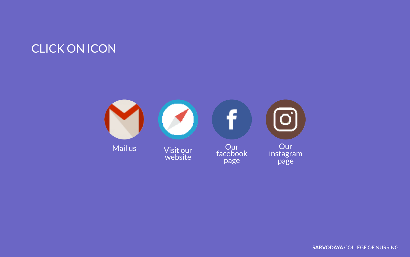

**SARVODAYA** COLLEGE OF NURSING

## CLICK ON ICON